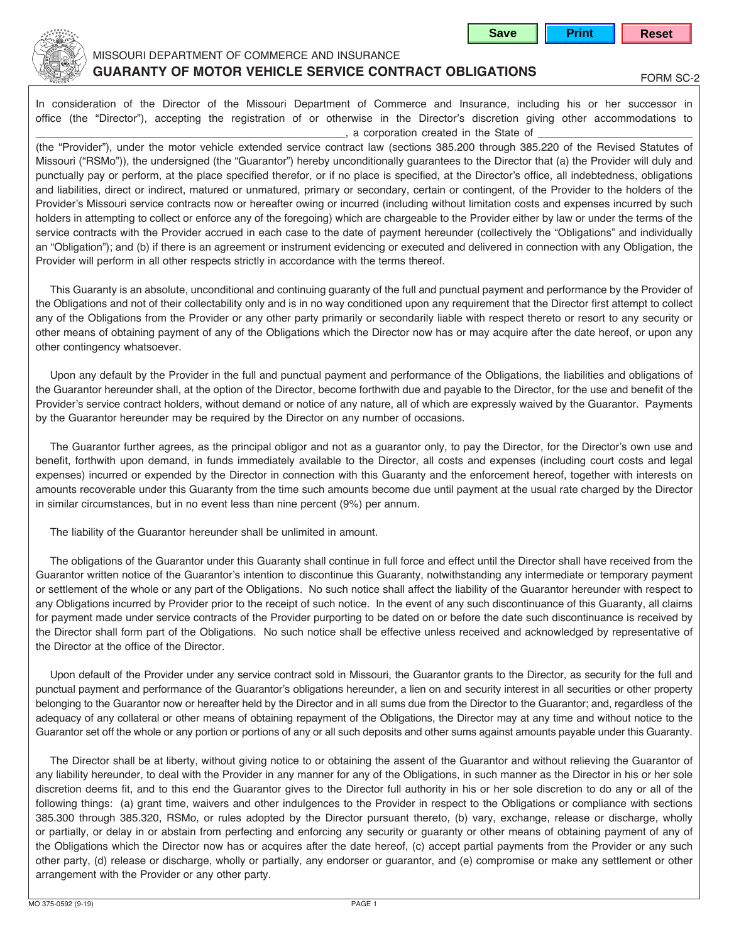



## MISSOURI DEPARTMENT OF COMMERCE AND INSURANCE **GUARANTY OF MOTOR VEHICLE SERVICE CONTRACT OBLIGATIONS**

In consideration of the Director of the Missouri Department of Commerce and Insurance, including his or her successor in office (the "Director"), accepting the registration of or otherwise in the Director's discretion giving other accommodations to  $\Box$ , a corporation created in the State of

(the "Provider"), under the motor vehicle extended service contract law (sections 385.200 through 385.220 of the Revised Statutes of Missouri ("RSMo")), the undersigned (the "Guarantor") hereby unconditionally guarantees to the Director that (a) the Provider will duly and punctually pay or perform, at the place specified therefor, or if no place is specified, at the Director's office, all indebtedness, obligations and liabilities, direct or indirect, matured or unmatured, primary or secondary, certain or contingent, of the Provider to the holders of the Provider's Missouri service contracts now or hereafter owing or incurred (including without limitation costs and expenses incurred by such holders in attempting to collect or enforce any of the foregoing) which are chargeable to the Provider either by law or under the terms of the service contracts with the Provider accrued in each case to the date of payment hereunder (collectively the "Obligations" and individually an "Obligation"); and (b) if there is an agreement or instrument evidencing or executed and delivered in connection with any Obligation, the Provider will perform in all other respects strictly in accordance with the terms thereof.

This Guaranty is an absolute, unconditional and continuing guaranty of the full and punctual payment and performance by the Provider of the Obligations and not of their collectability only and is in no way conditioned upon any requirement that the Director first attempt to collect any of the Obligations from the Provider or any other party primarily or secondarily liable with respect thereto or resort to any security or other means of obtaining payment of any of the Obligations which the Director now has or may acquire after the date hereof, or upon any other contingency whatsoever.

Upon any default by the Provider in the full and punctual payment and performance of the Obligations, the liabilities and obligations of the Guarantor hereunder shall, at the option of the Director, become forthwith due and payable to the Director, for the use and benefit of the Provider's service contract holders, without demand or notice of any nature, all of which are expressly waived by the Guarantor. Payments by the Guarantor hereunder may be required by the Director on any number of occasions.

The Guarantor further agrees, as the principal obligor and not as a guarantor only, to pay the Director, for the Director's own use and benefit, forthwith upon demand, in funds immediately available to the Director, all costs and expenses (including court costs and legal expenses) incurred or expended by the Director in connection with this Guaranty and the enforcement hereof, together with interests on amounts recoverable under this Guaranty from the time such amounts become due until payment at the usual rate charged by the Director in similar circumstances, but in no event less than nine percent (9%) per annum.

The liability of the Guarantor hereunder shall be unlimited in amount.

The obligations of the Guarantor under this Guaranty shall continue in full force and effect until the Director shall have received from the Guarantor written notice of the Guarantor's intention to discontinue this Guaranty, notwithstanding any intermediate or temporary payment or settlement of the whole or any part of the Obligations. No such notice shall affect the liability of the Guarantor hereunder with respect to any Obligations incurred by Provider prior to the receipt of such notice. In the event of any such discontinuance of this Guaranty, all claims for payment made under service contracts of the Provider purporting to be dated on or before the date such discontinuance is received by the Director shall form part of the Obligations. No such notice shall be effective unless received and acknowledged by representative of the Director at the office of the Director.

Upon default of the Provider under any service contract sold in Missouri, the Guarantor grants to the Director, as security for the full and punctual payment and performance of the Guarantor's obligations hereunder, a lien on and security interest in all securities or other property belonging to the Guarantor now or hereafter held by the Director and in all sums due from the Director to the Guarantor; and, regardless of the adequacy of any collateral or other means of obtaining repayment of the Obligations, the Director may at any time and without notice to the Guarantor set off the whole or any portion or portions of any or all such deposits and other sums against amounts payable under this Guaranty.

The Director shall be at liberty, without giving notice to or obtaining the assent of the Guarantor and without relieving the Guarantor of any liability hereunder, to deal with the Provider in any manner for any of the Obligations, in such manner as the Director in his or her sole discretion deems fit, and to this end the Guarantor gives to the Director full authority in his or her sole discretion to do any or all of the following things: (a) grant time, waivers and other indulgences to the Provider in respect to the Obligations or compliance with sections 385.300 through 385.320, RSMo, or rules adopted by the Director pursuant thereto, (b) vary, exchange, release or discharge, wholly or partially, or delay in or abstain from perfecting and enforcing any security or guaranty or other means of obtaining payment of any of the Obligations which the Director now has or acquires after the date hereof, (c) accept partial payments from the Provider or any such other party, (d) release or discharge, wholly or partially, any endorser or guarantor, and (e) compromise or make any settlement or other arrangement with the Provider or any other party.